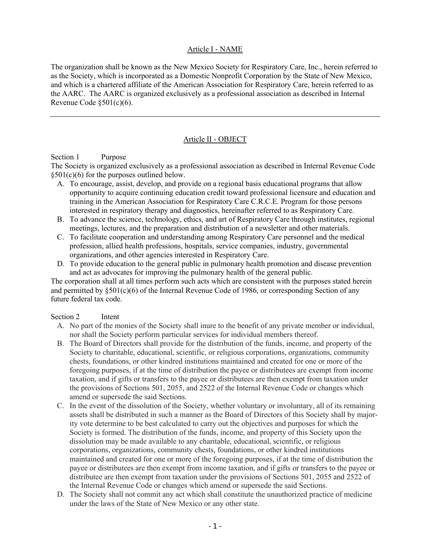### Article I - NAME

The organization shall be known as the New Mexico Society for Respiratory Care, Inc., herein referred to as the Society, which is incorporated as a Domestic Nonprofit Corporation by the State of New Mexico, and which is a chartered affiliate of the American Association for Respiratory Care, herein referred to as the AARC. The AARC is organized exclusively as a professional association as described in Internal Revenue Code  $\S501(c)(6)$ .

# Article II - OBJECT

### Section 1 Purpose

The Society is organized exclusively as a professional association as described in Internal Revenue Code  $§501(c)(6)$  for the purposes outlined below.

- A. To encourage, assist, develop, and provide on a regional basis educational programs that allow opportunity to acquire continuing education credit toward professional licensure and education and training in the American Association for Respiratory Care C.R.C.E. Program for those persons interested in respiratory therapy and diagnostics, hereinafter referred to as Respiratory Care.
- B. To advance the science, technology, ethics, and art of Respiratory Care through institutes, regional meetings, lectures, and the preparation and distribution of a newsletter and other materials.
- C. To facilitate cooperation and understanding among Respiratory Care personnel and the medical profession, allied health professions, hospitals, service companies, industry, governmental organizations, and other agencies interested in Respiratory Care.
- D. To provide education to the general public in pulmonary health promotion and disease prevention and act as advocates for improving the pulmonary health of the general public.

The corporation shall at all times perform such acts which are consistent with the purposes stated herein and permitted by  $\S501(c)(6)$  of the Internal Revenue Code of 1986, or corresponding Section of any future federal tax code.

#### Section 2 Intent

- A. No part of the monies of the Society shall inure to the benefit of any private member or individual, nor shall the Society perform particular services for individual members thereof.
- B. The Board of Directors shall provide for the distribution of the funds, income, and property of the Society to charitable, educational, scientific, or religious corporations, organizations, community chests, foundations, or other kindred institutions maintained and created for one or more of the foregoing purposes, if at the time of distribution the payee or distributees are exempt from income taxation, and if gifts or transfers to the payee or distributees are then exempt from taxation under the provisions of Sections 501, 2055, and 2522 of the Internal Revenue Code or changes which amend or supersede the said Sections.
- C. In the event of the dissolution of the Society, whether voluntary or involuntary, all of its remaining assets shall be distributed in such a manner as the Board of Directors of this Society shall by majority vote determine to be best calculated to carry out the objectives and purposes for which the Society is formed. The distribution of the funds, income, and property of this Society upon the dissolution may be made available to any charitable, educational, scientific, or religious corporations, organizations, community chests, foundations, or other kindred institutions maintained and created for one or more of the foregoing purposes, if at the time of distribution the payee or distributees are then exempt from income taxation, and if gifts or transfers to the payee or distributee are then exempt from taxation under the provisions of Sections 501, 2055 and 2522 of the Internal Revenue Code or changes which amend or supersede the said Sections.
- D. The Society shall not commit any act which shall constitute the unauthorized practice of medicine under the laws of the State of New Mexico or any other state.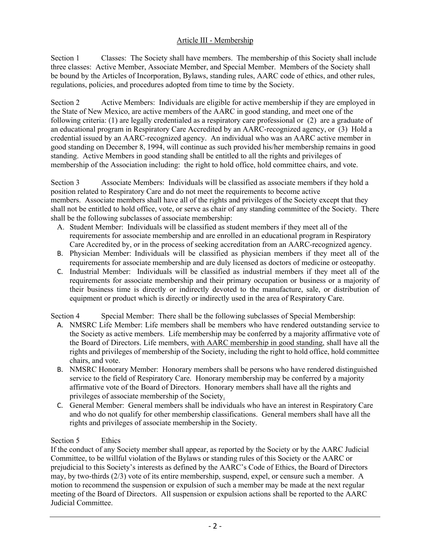# Article III - Membership

Section 1 Classes: The Society shall have members. The membership of this Society shall include three classes: Active Member, Associate Member, and Special Member. Members of the Society shall be bound by the Articles of Incorporation, Bylaws, standing rules, AARC code of ethics, and other rules, regulations, policies, and procedures adopted from time to time by the Society.

Section 2 Active Members: Individuals are eligible for active membership if they are employed in the State of New Mexico, are active members of the AARC in good standing, and meet one of the following criteria: (1) are legally credentialed as a respiratory care professional or (2) are a graduate of an educational program in Respiratory Care Accredited by an AARC-recognized agency, or (3) Hold a credential issued by an AARC-recognized agency. An individual who was an AARC active member in good standing on December 8, 1994, will continue as such provided his/her membership remains in good standing. Active Members in good standing shall be entitled to all the rights and privileges of membership of the Association including: the right to hold office, hold committee chairs, and vote.

Section 3 Associate Members: Individuals will be classified as associate members if they hold a position related to Respiratory Care and do not meet the requirements to become active members. Associate members shall have all of the rights and privileges of the Society except that they shall not be entitled to hold office, vote, or serve as chair of any standing committee of the Society. There shall be the following subclasses of associate membership:

- A. Student Member: Individuals will be classified as student members if they meet all of the requirements for associate membership and are enrolled in an educational program in Respiratory Care Accredited by, or in the process of seeking accreditation from an AARC-recognized agency.
- B. Physician Member: Individuals will be classified as physician members if they meet all of the requirements for associate membership and are duly licensed as doctors of medicine or osteopathy.
- C. Industrial Member: Individuals will be classified as industrial members if they meet all of the requirements for associate membership and their primary occupation or business or a majority of their business time is directly or indirectly devoted to the manufacture, sale, or distribution of equipment or product which is directly or indirectly used in the area of Respiratory Care.

Section 4 Special Member: There shall be the following subclasses of Special Membership:

- A. NMSRC Life Member: Life members shall be members who have rendered outstanding service to the Society as active members. Life membership may be conferred by a majority affirmative vote of the Board of Directors. Life members, with AARC membership in good standing, shall have all the rights and privileges of membership of the Society, including the right to hold office, hold committee chairs, and vote.
- B. NMSRC Honorary Member: Honorary members shall be persons who have rendered distinguished service to the field of Respiratory Care. Honorary membership may be conferred by a majority affirmative vote of the Board of Directors. Honorary members shall have all the rights and privileges of associate membership of the Society.
- C. General Member: General members shall be individuals who have an interest in Respiratory Care and who do not qualify for other membership classifications. General members shall have all the rights and privileges of associate membership in the Society.

# Section 5 Ethics

If the conduct of any Society member shall appear, as reported by the Society or by the AARC Judicial Committee, to be willful violation of the Bylaws or standing rules of this Society or the AARC or prejudicial to this Society's interests as defined by the AARC's Code of Ethics, the Board of Directors may, by two-thirds (2/3) vote of its entire membership, suspend, expel, or censure such a member. A motion to recommend the suspension or expulsion of such a member may be made at the next regular meeting of the Board of Directors. All suspension or expulsion actions shall be reported to the AARC Judicial Committee.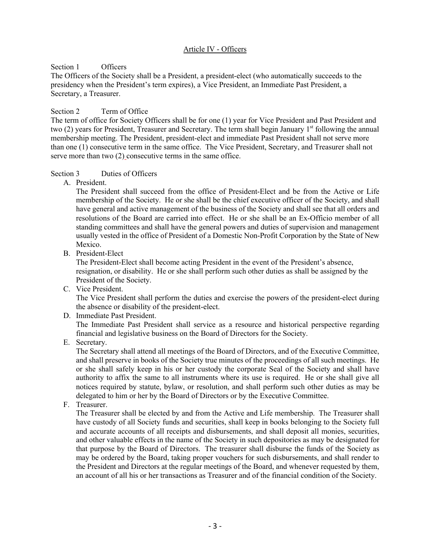# Article IV - Officers

#### Section 1 Officers

The Officers of the Society shall be a President, a president-elect (who automatically succeeds to the presidency when the President's term expires), a Vice President, an Immediate Past President, a Secretary, a Treasurer.

### Section 2 Term of Office

The term of office for Society Officers shall be for one (1) year for Vice President and Past President and two (2) years for President, Treasurer and Secretary. The term shall begin January 1<sup>st</sup> following the annual membership meeting. The President, president-elect and immediate Past President shall not serve more than one (1) consecutive term in the same office. The Vice President, Secretary, and Treasurer shall not serve more than two (2) consecutive terms in the same office.

### Section 3 Duties of Officers

A. President.

The President shall succeed from the office of President-Elect and be from the Active or Life membership of the Society. He or she shall be the chief executive officer of the Society, and shall have general and active management of the business of the Society and shall see that all orders and resolutions of the Board are carried into effect. He or she shall be an Ex-Officio member of all standing committees and shall have the general powers and duties of supervision and management usually vested in the office of President of a Domestic Non-Profit Corporation by the State of New Mexico.

B. President-Elect

The President-Elect shall become acting President in the event of the President's absence, resignation, or disability. He or she shall perform such other duties as shall be assigned by the President of the Society.

C. Vice President.

The Vice President shall perform the duties and exercise the powers of the president-elect during the absence or disability of the president-elect.

D. Immediate Past President.

The Immediate Past President shall service as a resource and historical perspective regarding financial and legislative business on the Board of Directors for the Society.

E. Secretary.

The Secretary shall attend all meetings of the Board of Directors, and of the Executive Committee, and shall preserve in books of the Society true minutes of the proceedings of all such meetings. He or she shall safely keep in his or her custody the corporate Seal of the Society and shall have authority to affix the same to all instruments where its use is required. He or she shall give all notices required by statute, bylaw, or resolution, and shall perform such other duties as may be delegated to him or her by the Board of Directors or by the Executive Committee.

F. Treasurer.

The Treasurer shall be elected by and from the Active and Life membership. The Treasurer shall have custody of all Society funds and securities, shall keep in books belonging to the Society full and accurate accounts of all receipts and disbursements, and shall deposit all monies, securities, and other valuable effects in the name of the Society in such depositories as may be designated for that purpose by the Board of Directors. The treasurer shall disburse the funds of the Society as may be ordered by the Board, taking proper vouchers for such disbursements, and shall render to the President and Directors at the regular meetings of the Board, and whenever requested by them, an account of all his or her transactions as Treasurer and of the financial condition of the Society.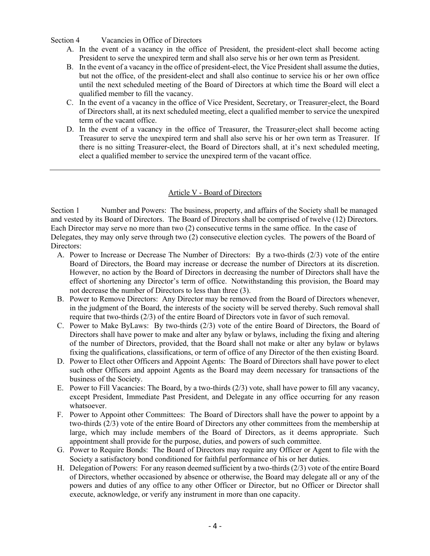Section 4 Vacancies in Office of Directors

- A. In the event of a vacancy in the office of President, the president-elect shall become acting President to serve the unexpired term and shall also serve his or her own term as President.
- B. In the event of a vacancy in the office of president-elect, the Vice President shall assume the duties, but not the office, of the president-elect and shall also continue to service his or her own office until the next scheduled meeting of the Board of Directors at which time the Board will elect a qualified member to fill the vacancy.
- C. In the event of a vacancy in the office of Vice President, Secretary, or Treasurer-elect, the Board of Directors shall, at its next scheduled meeting, elect a qualified member to service the unexpired term of the vacant office.
- D. In the event of a vacancy in the office of Treasurer, the Treasurer-elect shall become acting Treasurer to serve the unexpired term and shall also serve his or her own term as Treasurer. If there is no sitting Treasurer-elect, the Board of Directors shall, at it's next scheduled meeting, elect a qualified member to service the unexpired term of the vacant office.

### Article V - Board of Directors

Section 1 Number and Powers: The business, property, and affairs of the Society shall be managed and vested by its Board of Directors. The Board of Directors shall be comprised of twelve (12) Directors. Each Director may serve no more than two (2) consecutive terms in the same office. In the case of Delegates, they may only serve through two (2) consecutive election cycles. The powers of the Board of Directors:

- A. Power to Increase or Decrease The Number of Directors: By a two-thirds (2/3) vote of the entire Board of Directors, the Board may increase or decrease the number of Directors at its discretion. However, no action by the Board of Directors in decreasing the number of Directors shall have the effect of shortening any Director's term of office. Notwithstanding this provision, the Board may not decrease the number of Directors to less than three (3).
- B. Power to Remove Directors: Any Director may be removed from the Board of Directors whenever, in the judgment of the Board, the interests of the society will be served thereby. Such removal shall require that two-thirds (2/3) of the entire Board of Directors vote in favor of such removal.
- C. Power to Make ByLaws: By two-thirds (2/3) vote of the entire Board of Directors, the Board of Directors shall have power to make and alter any bylaw or bylaws, including the fixing and altering of the number of Directors, provided, that the Board shall not make or alter any bylaw or bylaws fixing the qualifications, classifications, or term of office of any Director of the then existing Board.
- D. Power to Elect other Officers and Appoint Agents: The Board of Directors shall have power to elect such other Officers and appoint Agents as the Board may deem necessary for transactions of the business of the Society.
- E. Power to Fill Vacancies: The Board, by a two-thirds (2/3) vote, shall have power to fill any vacancy, except President, Immediate Past President, and Delegate in any office occurring for any reason whatsoever.
- F. Power to Appoint other Committees: The Board of Directors shall have the power to appoint by a two-thirds (2/3) vote of the entire Board of Directors any other committees from the membership at large, which may include members of the Board of Directors, as it deems appropriate. Such appointment shall provide for the purpose, duties, and powers of such committee.
- G. Power to Require Bonds: The Board of Directors may require any Officer or Agent to file with the Society a satisfactory bond conditioned for faithful performance of his or her duties.
- H. Delegation of Powers: For any reason deemed sufficient by a two-thirds (2/3) vote of the entire Board of Directors, whether occasioned by absence or otherwise, the Board may delegate all or any of the powers and duties of any office to any other Officer or Director, but no Officer or Director shall execute, acknowledge, or verify any instrument in more than one capacity.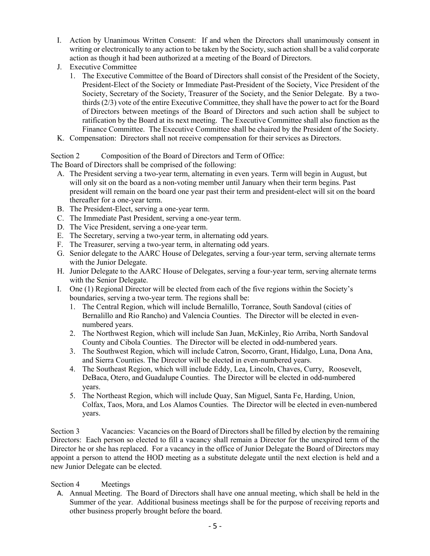- I. Action by Unanimous Written Consent: If and when the Directors shall unanimously consent in writing or electronically to any action to be taken by the Society, such action shall be a valid corporate action as though it had been authorized at a meeting of the Board of Directors.
- J. Executive Committee
	- 1. The Executive Committee of the Board of Directors shall consist of the President of the Society, President-Elect of the Society or Immediate Past-President of the Society, Vice President of the Society, Secretary of the Society, Treasurer of the Society, and the Senior Delegate. By a twothirds (2/3) vote of the entire Executive Committee, they shall have the power to act for the Board of Directors between meetings of the Board of Directors and such action shall be subject to ratification by the Board at its next meeting. The Executive Committee shall also function as the Finance Committee. The Executive Committee shall be chaired by the President of the Society.
- K. Compensation: Directors shall not receive compensation for their services as Directors.

### Section 2 Composition of the Board of Directors and Term of Office:

The Board of Directors shall be comprised of the following:

- A. The President serving a two-year term, alternating in even years. Term will begin in August, but will only sit on the board as a non-voting member until January when their term begins. Past president will remain on the board one year past their term and president-elect will sit on the board thereafter for a one-year term.
- B. The President-Elect, serving a one-year term.
- C. The Immediate Past President, serving a one-year term.
- D. The Vice President, serving a one-year term.
- E. The Secretary, serving a two-year term, in alternating odd years.
- F. The Treasurer, serving a two-year term, in alternating odd years.
- G. Senior delegate to the AARC House of Delegates, serving a four-year term, serving alternate terms with the Junior Delegate.
- H. Junior Delegate to the AARC House of Delegates, serving a four-year term, serving alternate terms with the Senior Delegate.
- I. One (1) Regional Director will be elected from each of the five regions within the Society's boundaries, serving a two-year term. The regions shall be:
	- 1. The Central Region, which will include Bernalillo, Torrance, South Sandoval (cities of Bernalillo and Rio Rancho) and Valencia Counties. The Director will be elected in evennumbered years.
	- 2. The Northwest Region, which will include San Juan, McKinley, Rio Arriba, North Sandoval County and Cibola Counties. The Director will be elected in odd-numbered years.
	- 3. The Southwest Region, which will include Catron, Socorro, Grant, Hidalgo, Luna, Dona Ana, and Sierra Counties. The Director will be elected in even-numbered years.
	- 4. The Southeast Region, which will include Eddy, Lea, Lincoln, Chaves, Curry, Roosevelt, DeBaca, Otero, and Guadalupe Counties. The Director will be elected in odd-numbered years.
	- 5. The Northeast Region, which will include Quay, San Miguel, Santa Fe, Harding, Union, Colfax, Taos, Mora, and Los Alamos Counties. The Director will be elected in even-numbered years.

Section 3 Vacancies: Vacancies on the Board of Directors shall be filled by election by the remaining Directors: Each person so elected to fill a vacancy shall remain a Director for the unexpired term of the Director he or she has replaced. For a vacancy in the office of Junior Delegate the Board of Directors may appoint a person to attend the HOD meeting as a substitute delegate until the next election is held and a new Junior Delegate can be elected.

#### Section 4 Meetings

A. Annual Meeting. The Board of Directors shall have one annual meeting, which shall be held in the Summer of the year. Additional business meetings shall be for the purpose of receiving reports and other business properly brought before the board.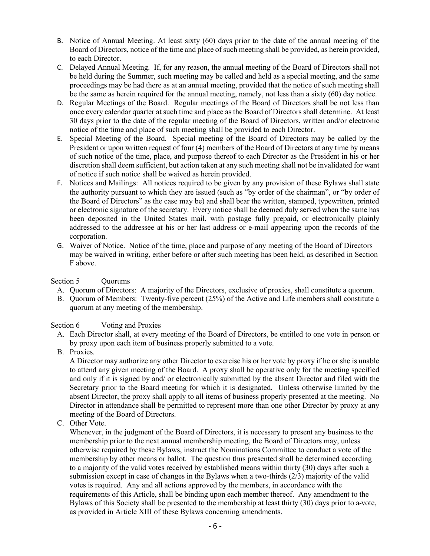- B. Notice of Annual Meeting. At least sixty (60) days prior to the date of the annual meeting of the Board of Directors, notice of the time and place of such meeting shall be provided, as herein provided, to each Director.
- C. Delayed Annual Meeting. If, for any reason, the annual meeting of the Board of Directors shall not be held during the Summer, such meeting may be called and held as a special meeting, and the same proceedings may be had there as at an annual meeting, provided that the notice of such meeting shall be the same as herein required for the annual meeting, namely, not less than a sixty (60) day notice.
- D. Regular Meetings of the Board. Regular meetings of the Board of Directors shall be not less than once every calendar quarter at such time and place as the Board of Directors shall determine. At least 30 days prior to the date of the regular meeting of the Board of Directors, written and/or electronic notice of the time and place of such meeting shall be provided to each Director.
- E. Special Meeting of the Board. Special meeting of the Board of Directors may be called by the President or upon written request of four (4) members of the Board of Directors at any time by means of such notice of the time, place, and purpose thereof to each Director as the President in his or her discretion shall deem sufficient, but action taken at any such meeting shall not be invalidated for want of notice if such notice shall be waived as herein provided.
- F. Notices and Mailings: All notices required to be given by any provision of these Bylaws shall state the authority pursuant to which they are issued (such as "by order of the chairman", or "by order of the Board of Directors" as the case may be) and shall bear the written, stamped, typewritten, printed or electronic signature of the secretary. Every notice shall be deemed duly served when the same has been deposited in the United States mail, with postage fully prepaid, or electronically plainly addressed to the addressee at his or her last address or e-mail appearing upon the records of the corporation.
- G. Waiver of Notice. Notice of the time, place and purpose of any meeting of the Board of Directors may be waived in writing, either before or after such meeting has been held, as described in Section F above.

# Section 5 Ouorums

- A. Quorum of Directors: A majority of the Directors, exclusive of proxies, shall constitute a quorum.
- B. Quorum of Members: Twenty-five percent (25%) of the Active and Life members shall constitute a quorum at any meeting of the membership.

#### Section 6 Voting and Proxies

- A. Each Director shall, at every meeting of the Board of Directors, be entitled to one vote in person or by proxy upon each item of business properly submitted to a vote.
- B. Proxies.

A Director may authorize any other Director to exercise his or her vote by proxy if he or she is unable to attend any given meeting of the Board. A proxy shall be operative only for the meeting specified and only if it is signed by and/ or electronically submitted by the absent Director and filed with the Secretary prior to the Board meeting for which it is designated. Unless otherwise limited by the absent Director, the proxy shall apply to all items of business properly presented at the meeting. No Director in attendance shall be permitted to represent more than one other Director by proxy at any meeting of the Board of Directors.

C. Other Vote.

Whenever, in the judgment of the Board of Directors, it is necessary to present any business to the membership prior to the next annual membership meeting, the Board of Directors may, unless otherwise required by these Bylaws, instruct the Nominations Committee to conduct a vote of the membership by other means or ballot. The question thus presented shall be determined according to a majority of the valid votes received by established means within thirty (30) days after such a submission except in case of changes in the Bylaws when a two-thirds (2/3) majority of the valid votes is required. Any and all actions approved by the members, in accordance with the requirements of this Article, shall be binding upon each member thereof. Any amendment to the Bylaws of this Society shall be presented to the membership at least thirty (30) days prior to a vote, as provided in Article XIII of these Bylaws concerning amendments.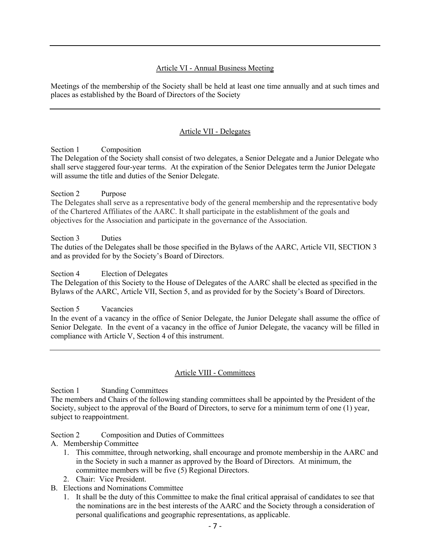### Article VI - Annual Business Meeting

Meetings of the membership of the Society shall be held at least one time annually and at such times and places as established by the Board of Directors of the Society

### Article VII - Delegates

Section 1 Composition

The Delegation of the Society shall consist of two delegates, a Senior Delegate and a Junior Delegate who shall serve staggered four-year terms. At the expiration of the Senior Delegates term the Junior Delegate will assume the title and duties of the Senior Delegate.

#### Section 2 Purpose

The Delegates shall serve as a representative body of the general membership and the representative body of the Chartered Affiliates of the AARC. It shall participate in the establishment of the goals and objectives for the Association and participate in the governance of the Association.

#### Section 3 Duties

The duties of the Delegates shall be those specified in the Bylaws of the AARC, Article VII, SECTION 3 and as provided for by the Society's Board of Directors.

#### Section 4 Election of Delegates

The Delegation of this Society to the House of Delegates of the AARC shall be elected as specified in the Bylaws of the AARC, Article VII, Section 5, and as provided for by the Society's Board of Directors.

#### Section 5 Vacancies

In the event of a vacancy in the office of Senior Delegate, the Junior Delegate shall assume the office of Senior Delegate. In the event of a vacancy in the office of Junior Delegate, the vacancy will be filled in compliance with Article V, Section 4 of this instrument.

#### Article VIII - Committees

Section 1 Standing Committees The members and Chairs of the following standing committees shall be appointed by the President of the Society, subject to the approval of the Board of Directors, to serve for a minimum term of one (1) year, subject to reappointment.

#### Section 2 Composition and Duties of Committees

- A. Membership Committee
	- 1. This committee, through networking, shall encourage and promote membership in the AARC and in the Society in such a manner as approved by the Board of Directors. At minimum, the committee members will be five (5) Regional Directors.
	- 2. Chair: Vice President.
- B. Elections and Nominations Committee
	- 1. It shall be the duty of this Committee to make the final critical appraisal of candidates to see that the nominations are in the best interests of the AARC and the Society through a consideration of personal qualifications and geographic representations, as applicable.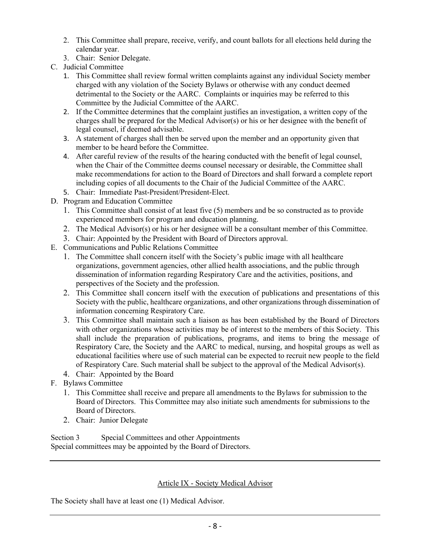- 2. This Committee shall prepare, receive, verify, and count ballots for all elections held during the calendar year.
- 3. Chair: Senior Delegate.
- C. Judicial Committee
	- 1. This Committee shall review formal written complaints against any individual Society member charged with any violation of the Society Bylaws or otherwise with any conduct deemed detrimental to the Society or the AARC. Complaints or inquiries may be referred to this Committee by the Judicial Committee of the AARC.
	- 2. If the Committee determines that the complaint justifies an investigation, a written copy of the charges shall be prepared for the Medical Advisor(s) or his or her designee with the benefit of legal counsel, if deemed advisable.
	- 3. A statement of charges shall then be served upon the member and an opportunity given that member to be heard before the Committee.
	- 4. After careful review of the results of the hearing conducted with the benefit of legal counsel, when the Chair of the Committee deems counsel necessary or desirable, the Committee shall make recommendations for action to the Board of Directors and shall forward a complete report including copies of all documents to the Chair of the Judicial Committee of the AARC.
	- 5. Chair: Immediate Past-President/President-Elect.
- D. Program and Education Committee
	- 1. This Committee shall consist of at least five (5) members and be so constructed as to provide experienced members for program and education planning.
	- 2. The Medical Advisor(s) or his or her designee will be a consultant member of this Committee.
	- 3. Chair: Appointed by the President with Board of Directors approval.
- E. Communications and Public Relations Committee
	- 1. The Committee shall concern itself with the Society's public image with all healthcare organizations, government agencies, other allied health associations, and the public through dissemination of information regarding Respiratory Care and the activities, positions, and perspectives of the Society and the profession.
	- 2. This Committee shall concern itself with the execution of publications and presentations of this Society with the public, healthcare organizations, and other organizations through dissemination of information concerning Respiratory Care.
	- 3. This Committee shall maintain such a liaison as has been established by the Board of Directors with other organizations whose activities may be of interest to the members of this Society. This shall include the preparation of publications, programs, and items to bring the message of Respiratory Care, the Society and the AARC to medical, nursing, and hospital groups as well as educational facilities where use of such material can be expected to recruit new people to the field of Respiratory Care. Such material shall be subject to the approval of the Medical Advisor(s).
	- 4. Chair: Appointed by the Board
- F. Bylaws Committee
	- 1. This Committee shall receive and prepare all amendments to the Bylaws for submission to the Board of Directors. This Committee may also initiate such amendments for submissions to the Board of Directors.
	- 2. Chair: Junior Delegate

Section 3 Special Committees and other Appointments Special committees may be appointed by the Board of Directors.

# Article IX - Society Medical Advisor

The Society shall have at least one (1) Medical Advisor.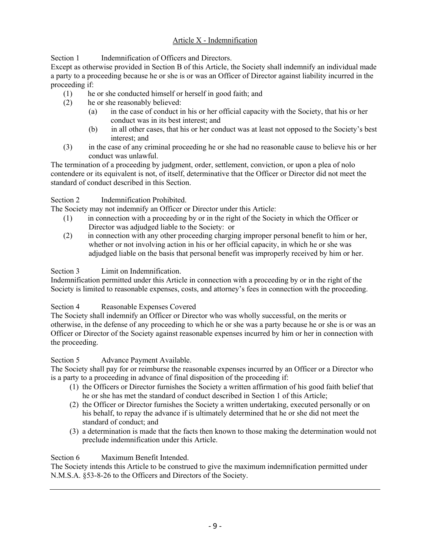# Article X - Indemnification

Section 1 Indemnification of Officers and Directors.

Except as otherwise provided in Section B of this Article, the Society shall indemnify an individual made a party to a proceeding because he or she is or was an Officer of Director against liability incurred in the proceeding if:

- (1) he or she conducted himself or herself in good faith; and
- (2) he or she reasonably believed:
	- (a) in the case of conduct in his or her official capacity with the Society, that his or her conduct was in its best interest; and
	- (b) in all other cases, that his or her conduct was at least not opposed to the Society's best interest; and
- (3) in the case of any criminal proceeding he or she had no reasonable cause to believe his or her conduct was unlawful.

The termination of a proceeding by judgment, order, settlement, conviction, or upon a plea of nolo contendere or its equivalent is not, of itself, determinative that the Officer or Director did not meet the standard of conduct described in this Section.

# Section 2 Indemnification Prohibited.

The Society may not indemnify an Officer or Director under this Article:

- (1) in connection with a proceeding by or in the right of the Society in which the Officer or Director was adjudged liable to the Society: or
- (2) in connection with any other proceeding charging improper personal benefit to him or her, whether or not involving action in his or her official capacity, in which he or she was adjudged liable on the basis that personal benefit was improperly received by him or her.

# Section 3 Limit on Indemnification.

Indemnification permitted under this Article in connection with a proceeding by or in the right of the Society is limited to reasonable expenses, costs, and attorney's fees in connection with the proceeding.

# Section 4 Reasonable Expenses Covered

The Society shall indemnify an Officer or Director who was wholly successful, on the merits or otherwise, in the defense of any proceeding to which he or she was a party because he or she is or was an Officer or Director of the Society against reasonable expenses incurred by him or her in connection with the proceeding.

# Section 5 Advance Payment Available.

The Society shall pay for or reimburse the reasonable expenses incurred by an Officer or a Director who is a party to a proceeding in advance of final disposition of the proceeding if:

- (1) the Officers or Director furnishes the Society a written affirmation of his good faith belief that he or she has met the standard of conduct described in Section 1 of this Article;
- (2) the Officer or Director furnishes the Society a written undertaking, executed personally or on his behalf, to repay the advance if is ultimately determined that he or she did not meet the standard of conduct; and
- (3) a determination is made that the facts then known to those making the determination would not preclude indemnification under this Article.

# Section 6 Maximum Benefit Intended.

The Society intends this Article to be construed to give the maximum indemnification permitted under N.M.S.A. §53-8-26 to the Officers and Directors of the Society.